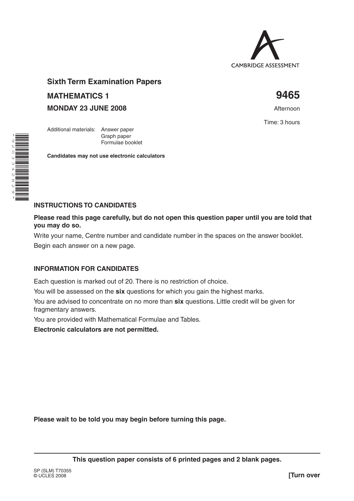

# **Sixth Term Examination Papers MATHEMATICS 1 9465**

Graph paper Formulae booklet

**Candidates may not use electronic calculators**

**MONDAY 23 JUNE 2008 Afternoon** 

Additional materials: Answer paper

Time: 3 hours



## **INSTRUCTIONS TO CANDIDATES**

**Please read this page carefully, but do not open this question paper until you are told that you may do so.**

Write your name, Centre number and candidate number in the spaces on the answer booklet.

Begin each answer on a new page.

## **INFORMATION FOR CANDIDATES**

Each question is marked out of 20. There is no restriction of choice.

You will be assessed on the **six** questions for which you gain the highest marks.

You are advised to concentrate on no more than **six** questions. Little credit will be given for fragmentary answers.

You are provided with Mathematical Formulae and Tables.

**Electronic calculators are not permitted.**

**Please wait to be told you may begin before turning this page.**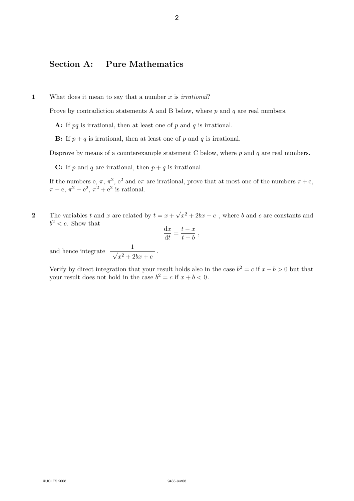## Section A: Pure Mathematics

1 What does it mean to say that a number x is *irrational*?

Prove by contradiction statements A and B below, where  $p$  and  $q$  are real numbers.

A: If  $pq$  is irrational, then at least one of  $p$  and  $q$  is irrational.

**B:** If  $p + q$  is irrational, then at least one of p and q is irrational.

Disprove by means of a counterexample statement C below, where  $p$  and  $q$  are real numbers.

C: If p and q are irrational, then  $p + q$  is irrational.

If the numbers e,  $\pi$ ,  $\pi^2$ ,  $e^2$  and e $\pi$  are irrational, prove that at most one of the numbers  $\pi + e$ ,  $\pi - e$ ,  $\pi^2 - e^2$ ,  $\pi^2 + e^2$  is rational.

2 The variables t and x are related by  $t = x +$ √  $x^2 + 2bx + c$ , where b and c are constants and  $b^2 < c$ . Show that 2<br>
Section A: Pure Mathematics<br>
What does it mean to say that a number x is in<br>
Prove by contradiction statements A and B belc<br>
A: If  $pq$  is irrational, then at least one of p ar<br>
B: If  $p + q$  is irrational, then at least

.

$$
\frac{\mathrm{d}x}{\mathrm{d}t} = \frac{t-x}{t+b} \ ,
$$

and hence integrate  $\frac{1}{\sqrt{2}}$  $x^2+2bx+c$ 

Verify by direct integration that your result holds also in the case  $b^2 = c$  if  $x + b > 0$  but that your result does not hold in the case  $b^2 = c$  if  $x + b < 0$ .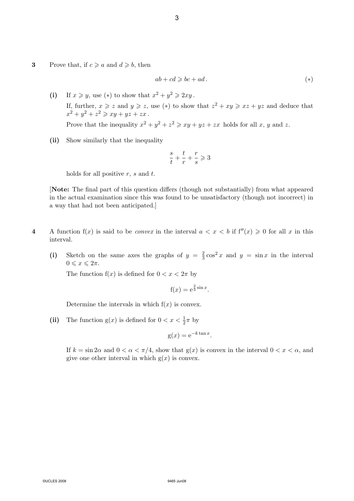3 Prove that, if  $c \ge a$  and  $d \ge b$ , then

$$
ab + cd \ge bc + ad. \tag{*}
$$

- (i) If  $x \geq y$ , use (\*) to show that  $x^2 + y^2 \geq 2xy$ . If, further,  $x \geqslant z$  and  $y \geqslant z$ , use (\*) to show that  $z^2 + xy \geqslant xz + yz$  and deduce that  $x^2 + y^2 + z^2 \geqslant xy + yz + zx$ . Prove that the inequality  $x^2 + y^2 + z^2 \geqslant xy + yz + zx$  holds for all x, y and z. 3<br>
8<br>
Prove that, if  $\varepsilon \ge a$  and  $d \ge b$ , then<br>  $ab + cd \ge l$ <br>
(i) If  $x \ge y$ , use (\*) to show that  $x^2 + y^2 \ge 2$ .<br>
If, further,  $x \ge x$  and  $y \ge z$ , use (\*) to si<br>  $x^2 + y^2 + z^2 \ge xy + yz + zx$ .<br>
Prove that the inequality  $x^2 + y^2 + z^2 \ge$ 
	- (ii) Show similarly that the inequality

$$
\frac{s}{t}+\frac{t}{r}+\frac{r}{s}\geqslant 3
$$

holds for all positive  $r$ ,  $s$  and  $t$ .

[Note: The final part of this question differs (though not substantially) from what appeared in the actual examination since this was found to be unsatisfactory (though not incorrect) in a way that had not been anticipated.]

- 4 A function  $f(x)$  is said to be *convex* in the interval  $a < x < b$  if  $f''(x) \ge 0$  for all x in this interval.
	- (i) Sketch on the same axes the graphs of  $y = \frac{2}{3}$  $\frac{2}{3}\cos^2 x$  and  $y = \sin x$  in the interval  $0 \leqslant x \leqslant 2\pi$ .

The function  $f(x)$  is defined for  $0 < x < 2\pi$  by

$$
f(x) = e^{\frac{2}{3}\sin x}.
$$

Determine the intervals in which  $f(x)$  is convex.

(ii) The function  $g(x)$  is defined for  $0 < x < \frac{1}{2}\pi$  by

$$
g(x) = e^{-k \tan x}.
$$

If  $k = \sin 2\alpha$  and  $0 < \alpha < \pi/4$ , show that  $g(x)$  is convex in the interval  $0 < x < \alpha$ , and give one other interval in which  $g(x)$  is convex.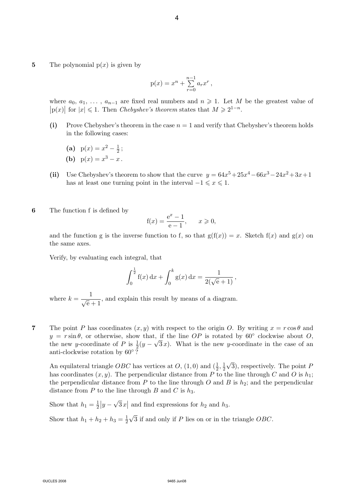5 The polynomial  $p(x)$  is given by

$$
p(x) = x^{n} + \sum_{r=0}^{n-1} a_{r} x^{r},
$$

where  $a_0, a_1, \ldots, a_{n-1}$  are fixed real numbers and  $n \geq 1$ . Let M be the greatest value of  $|p(x)|$  for  $|x| \leq 1$ . Then *Chebyshev's theorem* states that  $M \geq 2^{1-n}$ .

- (i) Prove Chebyshev's theorem in the case  $n = 1$  and verify that Chebyshev's theorem holds in the following cases:
	- (a)  $p(x) = x^2 \frac{1}{2}$  $\frac{1}{2}$ ;
	- (**b**)  $p(x) = x^3 x$ .
- (ii) Use Chebyshev's theorem to show that the curve  $y = 64x^5 + 25x^4 66x^3 24x^2 + 3x + 1$ has at least one turning point in the interval  $-1 \leq x \leq 1$ .
- 6 The function f is defined by

$$
f(x) = \frac{e^x - 1}{e - 1}, \quad x \ge 0,
$$

and the function g is the inverse function to f, so that  $g(f(x)) = x$ . Sketch  $f(x)$  and  $g(x)$  on the same axes.

Verify, by evaluating each integral, that

$$
\int_0^{\frac{1}{2}} f(x) dx + \int_0^k g(x) dx = \frac{1}{2(\sqrt{e} + 1)},
$$

where  $k = \frac{1}{\sqrt{e}+1}$ , and explain this result by means of a diagram.

**7** The point P has coordinates  $(x, y)$  with respect to the origin O. By writing  $x = r \cos \theta$  and  $y = r \sin \theta$ , or otherwise, show that, if the line OP is rotated by 60° clockwise about O, the new y-coordinate of P is  $\frac{1}{2}(y - \sqrt{3}x)$ . What is the new y-coordinate in the case of an anti-clockwise rotation by  $60^{\circ}$ ?

An equilateral triangle *OBC* has vertices at  $O$ ,  $(1,0)$  and  $(\frac{1}{2},\frac{1}{2})$  $\overline{2}$ √ 3), respectively. The point P has coordinates  $(x, y)$ . The perpendicular distance from P to the line through C and O is  $h_1$ ; the perpendicular distance from  $P$  to the line through  $O$  and  $B$  is  $h_2$ ; and the perpendicular distance from P to the line through B and C is  $h_3$ . 4<br>
The polynomial  $p(x)$  is given by<br>  $p(x) = x^n +$ <br>
where  $a_0, a_1, \ldots, a_{n-1}$  are fixed real numbers<br>
[p(x)] for  $|x| \leqslant 1$ . Then *Chebyshev's theorem* st<br>
(1) Prove Chebyshev's theorem in the case n =<br>
(a)  $p(x) - x^2 - \frac{1}{2}$ 

Show that  $h_1 = \frac{1}{2}$  $rac{1}{2}|y -$ √  $\overline{3}x$  and find expressions for  $h_2$  and  $h_3$ . √

Show that  $h_1 + h_2 + h_3 = \frac{1}{2}$  $\overline{2}$ 3 if and only if P lies on or in the triangle OBC.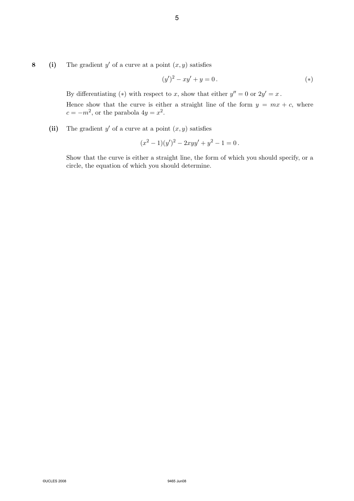8 (i) The gradient y' of a curve at a point  $(x, y)$  satisfies

$$
(y')^{2} - xy' + y = 0.
$$
 (\*)

By differentiating (\*) with respect to x, show that either  $y'' = 0$  or  $2y' = x$ .

Hence show that the curve is either a straight line of the form  $y = mx + c$ , where  $c = -m^2$ , or the parabola  $4y = x^2$ . S<br>
(i) The gradient y' of a curve at a point  $(x, y)$ <br>  $(y')^2 - x$ <br>
By differentiating (\*) with respect to x, sl<br>
lence show that the curve is either a st<br>  $c = -m^2$ , or the parabola  $4y = x^2$ .<br>
(ii) The gradient y' of a curve a

(ii) The gradient  $y'$  of a curve at a point  $(x, y)$  satisfies

$$
(x2 - 1)(y')2 - 2xyy' + y2 - 1 = 0.
$$

Show that the curve is either a straight line, the form of which you should specify, or a circle, the equation of which you should determine.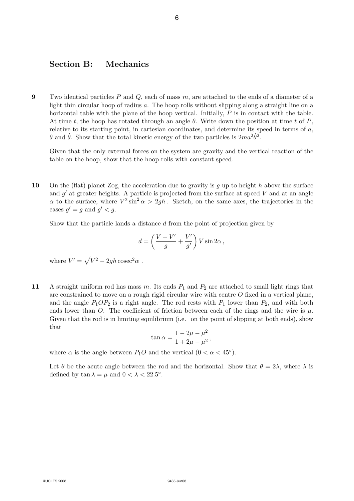#### Section B: Mechanics

9 Two identical particles P and Q, each of mass  $m$ , are attached to the ends of a diameter of a light thin circular hoop of radius a. The hoop rolls without slipping along a straight line on a horizontal table with the plane of the hoop vertical. Initially,  $P$  is in contact with the table. At time t, the hoop has rotated through an angle  $\theta$ . Write down the position at time t of P, relative to its starting point, in cartesian coordinates, and determine its speed in terms of  $a$ ,  $\theta$  and  $\dot{\theta}$ . Show that the total kinetic energy of the two particles is  $2ma^2\dot{\theta}^2$ . 6<br>
Section B: Mechanics<br>
Two identical particles  $P$  and  $Q$ , each of mass *n*<br>
light thin circular hoop of radius a. The hoop rest<br>
betwisted table with the plane of the hoop vertex<br>
At time  $t$ , the hoop has rotated thr

Given that the only external forces on the system are gravity and the vertical reaction of the table on the hoop, show that the hoop rolls with constant speed.

10 On the (flat) planet Zog, the acceleration due to gravity is q up to height h above the surface and  $g'$  at greater heights. A particle is projected from the surface at speed  $V$  and at an angle  $\alpha$  to the surface, where  $V^2 \sin^2 \alpha > 2gh$ . Sketch, on the same axes, the trajectories in the cases  $g' = g$  and  $g' < g$ .

Show that the particle lands a distance d from the point of projection given by

$$
d = \left(\frac{V - V'}{g} + \frac{V'}{g'}\right) V \sin 2\alpha ,
$$

where  $V' = \sqrt{V^2 - 2gh\,\text{cosec}^2\alpha}$ .

11 A straight uniform rod has mass m. Its ends  $P_1$  and  $P_2$  are attached to small light rings that are constrained to move on a rough rigid circular wire with centre  $O$  fixed in a vertical plane, and the angle  $P_1OP_2$  is a right angle. The rod rests with  $P_1$  lower than  $P_2$ , and with both ends lower than O. The coefficient of friction between each of the rings and the wire is  $\mu$ . Given that the rod is in limiting equilibrium (i.e. on the point of slipping at both ends), show that

$$
\tan \alpha = \frac{1 - 2\mu - \mu^2}{1 + 2\mu - \mu^2},
$$

where  $\alpha$  is the angle between  $P_1O$  and the vertical  $(0 < \alpha < 45^{\circ}).$ 

Let  $\theta$  be the acute angle between the rod and the horizontal. Show that  $\theta = 2\lambda$ , where  $\lambda$  is defined by  $\tan \lambda = \mu$  and  $0 < \lambda < 22.5^{\circ}$ .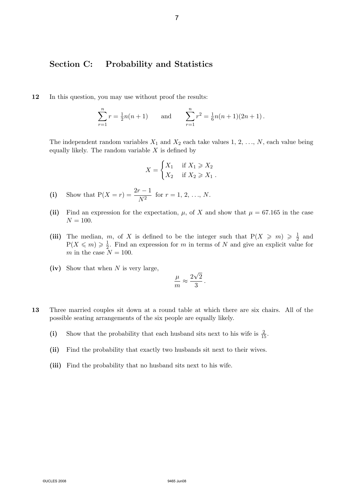## Section C: Probability and Statistics

12 In this question, you may use without proof the results:

$$
\sum_{r=1}^{n} r = \frac{1}{2}n(n+1) \quad \text{and} \quad \sum_{r=1}^{n} r^{2} = \frac{1}{6}n(n+1)(2n+1).
$$

The independent random variables  $X_1$  and  $X_2$  each take values 1, 2, ..., N, each value being equally likely. The random variable  $X$  is defined by

$$
X = \begin{cases} X_1 & \text{if } X_1 \ge X_2 \\ X_2 & \text{if } X_2 \ge X_1 \end{cases}
$$

- (i) Show that  $P(X = r) = \frac{2r 1}{N^2}$  for  $r = 1, 2, ..., N$ .
- (ii) Find an expression for the expectation,  $\mu$ , of X and show that  $\mu = 67.165$  in the case  $N = 100.$
- (iii) The median, m, of X is defined to be the integer such that  $P(X \ge m) \ge \frac{1}{2}$  $rac{1}{2}$  and  $P(X \leqslant m) \geqslant \frac{1}{2}$  $\frac{1}{2}$ . Find an expression for m in terms of N and give an explicit value for m in the case  $N = 100$ . 7<br>
Section C: Probability and Sta<br>
In this question, you may use without proof the<br>  $\sum_{r=1}^{n} r = \frac{1}{2}n(n+1)$  and<br>
The independent random variables X<sub>1</sub> and X<sub>2</sub> e<br>
equally likely. The random variables X is defined<br>  $X = \$ 
	- (iv) Show that when  $N$  is very large.

$$
\frac{\mu}{m} \approx \frac{2\sqrt{2}}{3} \, .
$$

- 13 Three married couples sit down at a round table at which there are six chairs. All of the possible seating arrangements of the six people are equally likely.
	- (i) Show that the probability that each husband sits next to his wife is  $\frac{2}{15}$ .
	- (ii) Find the probability that exactly two husbands sit next to their wives.
	- (iii) Find the probability that no husband sits next to his wife.